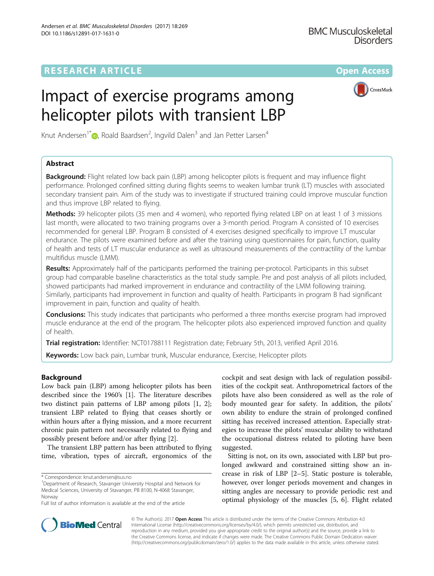CrossMark

## **RESEARCH ARTICLE External Structure Community Community Community Community Community Community Community Community**

# Impact of exercise programs among helicopter pilots with transient LBP

Knut Andersen<sup>1\*</sup> $\bullet$ , Roald Baardsen<sup>2</sup>, Ingvild Dalen<sup>3</sup> and Jan Petter Larsen<sup>4</sup>

## Abstract

**Background:** Flight related low back pain (LBP) among helicopter pilots is frequent and may influence flight performance. Prolonged confined sitting during flights seems to weaken lumbar trunk (LT) muscles with associated secondary transient pain. Aim of the study was to investigate if structured training could improve muscular function and thus improve LBP related to flying.

Methods: 39 helicopter pilots (35 men and 4 women), who reported flying related LBP on at least 1 of 3 missions last month, were allocated to two training programs over a 3-month period. Program A consisted of 10 exercises recommended for general LBP. Program B consisted of 4 exercises designed specifically to improve LT muscular endurance. The pilots were examined before and after the training using questionnaires for pain, function, quality of health and tests of LT muscular endurance as well as ultrasound measurements of the contractility of the lumbar multifidus muscle (LMM).

Results: Approximately half of the participants performed the training per-protocol. Participants in this subset group had comparable baseline characteristics as the total study sample. Pre and post analysis of all pilots included, showed participants had marked improvement in endurance and contractility of the LMM following training. Similarly, participants had improvement in function and quality of health. Participants in program B had significant improvement in pain, function and quality of health.

**Conclusions:** This study indicates that participants who performed a three months exercise program had improved muscle endurance at the end of the program. The helicopter pilots also experienced improved function and quality of health.

Trial registration: Identifier: [NCT01788111](http://www.clinicaltrials.gov) Registration date; February 5th, 2013, verified April 2016.

Keywords: Low back pain, Lumbar trunk, Muscular endurance, Exercise, Helicopter pilots

## Background

Low back pain (LBP) among helicopter pilots has been described since the 1960's [[1](#page-7-0)]. The literature describes two distinct pain patterns of LBP among pilots [[1](#page-7-0), [2](#page-7-0)]; transient LBP related to flying that ceases shortly or within hours after a flying mission, and a more recurrent chronic pain pattern not necessarily related to flying and possibly present before and/or after flying [[2\]](#page-7-0).

The transient LBP pattern has been attributed to flying time, vibration, types of aircraft, ergonomics of the

cockpit and seat design with lack of regulation possibilities of the cockpit seat. Anthropometrical factors of the pilots have also been considered as well as the role of body mounted gear for safety. In addition, the pilots' own ability to endure the strain of prolonged confined sitting has received increased attention. Especially strategies to increase the pilots' muscular ability to withstand the occupational distress related to piloting have been suggested.

Sitting is not, on its own, associated with LBP but prolonged awkward and constrained sitting show an increase in risk of LBP [[2](#page-7-0)–[5](#page-7-0)]. Static posture is tolerable, however, over longer periods movement and changes in sitting angles are necessary to provide periodic rest and optimal physiology of the muscles [\[5, 6](#page-7-0)]. Flight related



© The Author(s). 2017 **Open Access** This article is distributed under the terms of the Creative Commons Attribution 4.0 International License [\(http://creativecommons.org/licenses/by/4.0/](http://creativecommons.org/licenses/by/4.0/)), which permits unrestricted use, distribution, and reproduction in any medium, provided you give appropriate credit to the original author(s) and the source, provide a link to the Creative Commons license, and indicate if changes were made. The Creative Commons Public Domain Dedication waiver [\(http://creativecommons.org/publicdomain/zero/1.0/](http://creativecommons.org/publicdomain/zero/1.0/)) applies to the data made available in this article, unless otherwise stated.

<sup>\*</sup> Correspondence: [knut.andersen@sus.no](mailto:knut.andersen@sus.no) <sup>1</sup>

<sup>&</sup>lt;sup>1</sup>Department of Research, Stavanger University Hospital and Network for Medical Sciences, University of Stavanger, PB 8100, N-4068 Stavanger, Norway

Full list of author information is available at the end of the article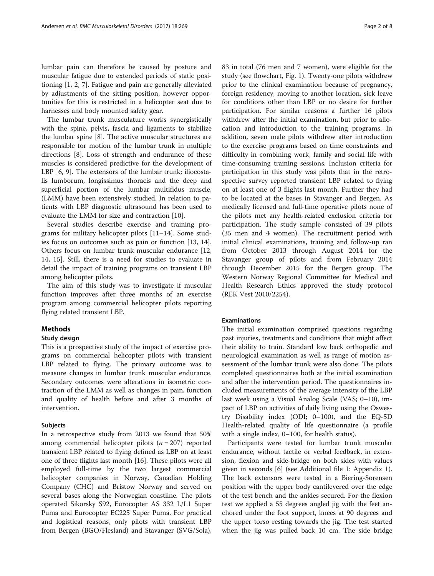lumbar pain can therefore be caused by posture and muscular fatigue due to extended periods of static positioning [[1, 2](#page-7-0), [7](#page-7-0)]. Fatigue and pain are generally alleviated by adjustments of the sitting position, however opportunities for this is restricted in a helicopter seat due to harnesses and body mounted safety gear.

The lumbar trunk musculature works synergistically with the spine, pelvis, fascia and ligaments to stabilize the lumbar spine [\[8](#page-7-0)]. The active muscular structures are responsible for motion of the lumbar trunk in multiple directions [\[8](#page-7-0)]. Loss of strength and endurance of these muscles is considered predictive for the development of LBP [\[6, 9](#page-7-0)]. The extensors of the lumbar trunk; iliocostalis lumborum, longissimus thoracis and the deep and superficial portion of the lumbar multifidus muscle, (LMM) have been extensively studied. In relation to patients with LBP diagnostic ultrasound has been used to evaluate the LMM for size and contraction [[10\]](#page-7-0).

Several studies describe exercise and training programs for military helicopter pilots [[11](#page-7-0)–[14](#page-7-0)]. Some studies focus on outcomes such as pain or function [\[13, 14](#page-7-0)]. Others focus on lumbar trunk muscular endurance [[12](#page-7-0), [14, 15\]](#page-7-0). Still, there is a need for studies to evaluate in detail the impact of training programs on transient LBP among helicopter pilots.

The aim of this study was to investigate if muscular function improves after three months of an exercise program among commercial helicopter pilots reporting flying related transient LBP.

## **Methods**

## Study design

This is a prospective study of the impact of exercise programs on commercial helicopter pilots with transient LBP related to flying. The primary outcome was to measure changes in lumbar trunk muscular endurance. Secondary outcomes were alterations in isometric contraction of the LMM as well as changes in pain, function and quality of health before and after 3 months of intervention.

## Subjects

In a retrospective study from 2013 we found that 50% among commercial helicopter pilots  $(n = 207)$  reported transient LBP related to flying defined as LBP on at least one of three flights last month [[16\]](#page-7-0). These pilots were all employed full-time by the two largest commercial helicopter companies in Norway, Canadian Holding Company (CHC) and Bristow Norway and served on several bases along the Norwegian coastline. The pilots operated Sikorsky S92, Eurocopter AS 332 L/L1 Super Puma and Eurocopter EC225 Super Puma. For practical and logistical reasons, only pilots with transient LBP from Bergen (BGO/Flesland) and Stavanger (SVG/Sola), 83 in total (76 men and 7 women), were eligible for the study (see flowchart, Fig. [1](#page-2-0)). Twenty-one pilots withdrew prior to the clinical examination because of pregnancy, foreign residency, moving to another location, sick leave for conditions other than LBP or no desire for further participation. For similar reasons a further 16 pilots withdrew after the initial examination, but prior to allocation and introduction to the training programs. In addition, seven male pilots withdrew after introduction to the exercise programs based on time constraints and difficulty in combining work, family and social life with time-consuming training sessions. Inclusion criteria for participation in this study was pilots that in the retrospective survey reported transient LBP related to flying on at least one of 3 flights last month. Further they had to be located at the bases in Stavanger and Bergen. As medically licensed and full-time operative pilots none of the pilots met any health-related exclusion criteria for participation. The study sample consisted of 39 pilots (35 men and 4 women). The recruitment period with initial clinical examinations, training and follow-up ran from October 2013 through August 2014 for the Stavanger group of pilots and from February 2014 through December 2015 for the Bergen group. The Western Norway Regional Committee for Medical and Health Research Ethics approved the study protocol (REK Vest 2010/2254).

#### Examinations

The initial examination comprised questions regarding past injuries, treatments and conditions that might affect their ability to train. Standard low back orthopedic and neurological examination as well as range of motion assessment of the lumbar trunk were also done. The pilots completed questionnaires both at the initial examination and after the intervention period. The questionnaires included measurements of the average intensity of the LBP last week using a Visual Analog Scale (VAS; 0–10), impact of LBP on activities of daily living using the Oswestry Disability index (ODI; 0–100), and the EQ-5D Health-related quality of life questionnaire (a profile with a single index, 0–100, for health status).

Participants were tested for lumbar trunk muscular endurance, without tactile or verbal feedback, in extension, flexion and side-bridge on both sides with values given in seconds [\[6](#page-7-0)] (see Additional file [1](#page-6-0): Appendix 1). The back extensors were tested in a Biering-Sorensen position with the upper body cantilevered over the edge of the test bench and the ankles secured. For the flexion test we applied a 55 degrees angled jig with the feet anchored under the foot support, knees at 90 degrees and the upper torso resting towards the jig. The test started when the jig was pulled back 10 cm. The side bridge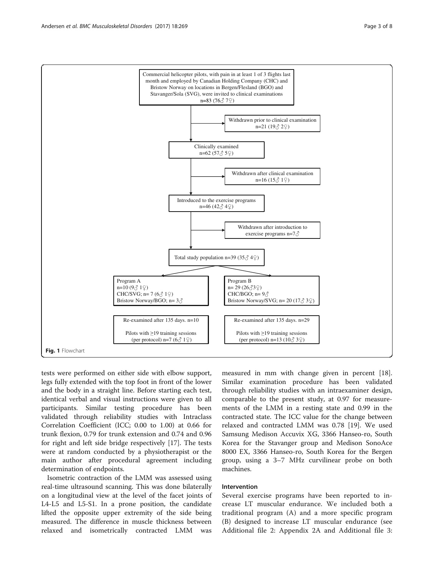<span id="page-2-0"></span>

tests were performed on either side with elbow support, legs fully extended with the top foot in front of the lower and the body in a straight line. Before starting each test, identical verbal and visual instructions were given to all participants. Similar testing procedure has been validated through reliability studies with Intraclass Correlation Coefficient (ICC; 0.00 to 1.00) at 0.66 for trunk flexion, 0.79 for trunk extension and 0.74 and 0.96 for right and left side bridge respectively [[17](#page-7-0)]. The tests were at random conducted by a physiotherapist or the main author after procedural agreement including determination of endpoints.

Isometric contraction of the LMM was assessed using real-time ultrasound scanning. This was done bilaterally on a longitudinal view at the level of the facet joints of L4-L5 and L5-S1. In a prone position, the candidate lifted the opposite upper extremity of the side being measured. The difference in muscle thickness between relaxed and isometrically contracted LMM was

measured in mm with change given in percent [\[18](#page-7-0)]. Similar examination procedure has been validated through reliability studies with an intraexaminer design, comparable to the present study, at 0.97 for measurements of the LMM in a resting state and 0.99 in the contracted state. The ICC value for the change between relaxed and contracted LMM was 0.78 [[19\]](#page-7-0). We used Samsung Medison Accuvix XG, 3366 Hanseo-ro, South Korea for the Stavanger group and Medison SonoAce 8000 EX, 3366 Hanseo-ro, South Korea for the Bergen group, using a 3–7 MHz curvilinear probe on both machines.

## Intervention

Several exercise programs have been reported to increase LT muscular endurance. We included both a traditional program (A) and a more specific program (B) designed to increase LT muscular endurance (see Additional file [2:](#page-6-0) Appendix 2A and Additional file [3](#page-6-0):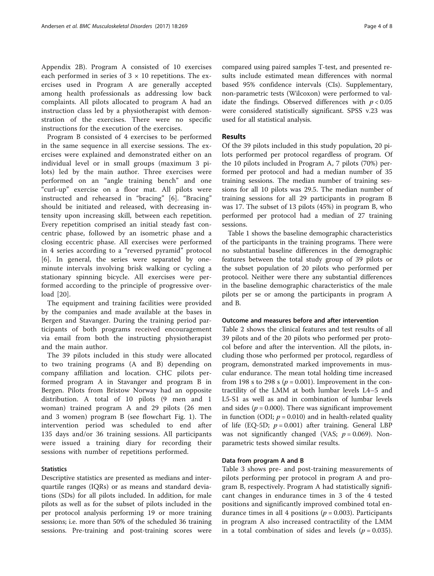Appendix 2B). Program A consisted of 10 exercises each performed in series of  $3 \times 10$  repetitions. The exercises used in Program A are generally accepted among health professionals as addressing low back complaints. All pilots allocated to program A had an instruction class led by a physiotherapist with demonstration of the exercises. There were no specific instructions for the execution of the exercises.

Program B consisted of 4 exercises to be performed in the same sequence in all exercise sessions. The exercises were explained and demonstrated either on an individual level or in small groups (maximum 3 pilots) led by the main author. Three exercises were performed on an "angle training bench" and one "curl-up" exercise on a floor mat. All pilots were instructed and rehearsed in "bracing" [[6\]](#page-7-0). "Bracing" should be initiated and released, with decreasing intensity upon increasing skill, between each repetition. Every repetition comprised an initial steady fast concentric phase, followed by an isometric phase and a closing eccentric phase. All exercises were performed in 4 series according to a "reversed pyramid" protocol [[6\]](#page-7-0). In general, the series were separated by oneminute intervals involving brisk walking or cycling a stationary spinning bicycle. All exercises were performed according to the principle of progressive overload [[20\]](#page-7-0).

The equipment and training facilities were provided by the companies and made available at the bases in Bergen and Stavanger. During the training period participants of both programs received encouragement via email from both the instructing physiotherapist and the main author.

The 39 pilots included in this study were allocated to two training programs (A and B) depending on company affiliation and location. CHC pilots performed program A in Stavanger and program B in Bergen. Pilots from Bristow Norway had an opposite distribution. A total of 10 pilots (9 men and 1 woman) trained program A and 29 pilots (26 men and 3 women) program B (see flowchart Fig. [1](#page-2-0)). The intervention period was scheduled to end after 135 days and/or 36 training sessions. All participants were issued a training diary for recording their sessions with number of repetitions performed.

## **Statistics**

Descriptive statistics are presented as medians and interquartile ranges (IQRs) or as means and standard deviations (SDs) for all pilots included. In addition, for male pilots as well as for the subset of pilots included in the per protocol analysis performing 19 or more training sessions; i.e. more than 50% of the scheduled 36 training sessions. Pre-training and post-training scores were compared using paired samples T-test, and presented results include estimated mean differences with normal based 95% confidence intervals (CIs). Supplementary, non-parametric tests (Wilcoxon) were performed to validate the findings. Observed differences with  $p < 0.05$ were considered statistically significant. SPSS v.23 was used for all statistical analysis.

## Results

Of the 39 pilots included in this study population, 20 pilots performed per protocol regardless of program. Of the 10 pilots included in Program A, 7 pilots (70%) performed per protocol and had a median number of 35 training sessions. The median number of training sessions for all 10 pilots was 29.5. The median number of training sessions for all 29 participants in program B was 17. The subset of 13 pilots (45%) in program B, who performed per protocol had a median of 27 training sessions.

Table [1](#page-4-0) shows the baseline demographic characteristics of the participants in the training programs. There were no substantial baseline differences in the demographic features between the total study group of 39 pilots or the subset population of 20 pilots who performed per protocol. Neither were there any substantial differences in the baseline demographic characteristics of the male pilots per se or among the participants in program A and B.

## Outcome and measures before and after intervention

Table [2](#page-5-0) shows the clinical features and test results of all 39 pilots and of the 20 pilots who performed per protocol before and after the intervention. All the pilots, including those who performed per protocol, regardless of program, demonstrated marked improvements in muscular endurance. The mean total holding time increased from 198 s to 298 s ( $p = 0.001$ ). Improvement in the contractility of the LMM at both lumbar levels L4–5 and L5-S1 as well as and in combination of lumbar levels and sides ( $p = 0.000$ ). There was significant improvement in function (ODI;  $p = 0.010$ ) and in health-related quality of life (EQ-5D;  $p = 0.001$ ) after training. General LBP was not significantly changed (VAS;  $p = 0.069$ ). Nonparametric tests showed similar results.

## Data from program A and B

Table [3](#page-5-0) shows pre- and post-training measurements of pilots performing per protocol in program A and program B, respectively. Program A had statistically significant changes in endurance times in 3 of the 4 tested positions and significantly improved combined total endurance times in all 4 positions ( $p = 0.003$ ). Participants in program A also increased contractility of the LMM in a total combination of sides and levels ( $p = 0.035$ ).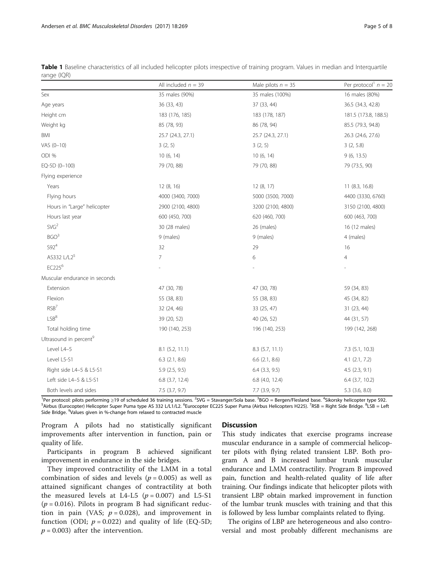|                                    | All included $n = 39$ | Male pilots $n = 35$ | Per protocol <sup>1</sup> $n = 20$ |  |
|------------------------------------|-----------------------|----------------------|------------------------------------|--|
| Sex                                | 35 males (90%)        | 35 males (100%)      | 16 males (80%)                     |  |
| Age years                          | 36 (33, 43)           | 37 (33, 44)          | 36.5 (34.3, 42.8)                  |  |
| Height cm                          | 183 (176, 185)        | 183 (178, 187)       | 181.5 (173.8, 188.5)               |  |
| Weight kg                          | 85 (78, 93)           | 86 (78, 94)          | 85.5 (79.3, 94.8)                  |  |
| BMI                                | 25.7 (24.3, 27.1)     | 25.7 (24.3, 27.1)    | 26.3 (24.6, 27.6)                  |  |
| $VAS (0-10)$                       | 3(2, 5)               | 3(2, 5)              | 3(2, 5.8)                          |  |
| ODI %                              | 10(6, 14)             | 10(6, 14)            | 9(6, 13.5)                         |  |
| EQ-5D (0-100)                      | 79 (70, 88)           | 79 (70, 88)          | 79 (73.5, 90)                      |  |
| Flying experience                  |                       |                      |                                    |  |
| Years                              | 12(8, 16)             | 12(8, 17)            | 11(8.3, 16.8)                      |  |
| Flying hours                       | 4000 (3400, 7000)     | 5000 (3500, 7000)    | 4400 (3330, 6760)                  |  |
| Hours in "Large" helicopter        | 2900 (2100, 4800)     | 3200 (2100, 4800)    | 3150 (2100, 4800)                  |  |
| Hours last year                    | 600 (450, 700)        | 620 (460, 700)       | 600 (463, 700)                     |  |
| SVG <sup>2</sup>                   | 30 (28 males)         | 26 (males)           | 16 (12 males)                      |  |
| BGO <sup>3</sup>                   | 9 (males)             | 9 (males)            | 4 (males)                          |  |
| S92 <sup>4</sup>                   | 32                    | 29                   | 16                                 |  |
| AS332 L/L25                        | $\overline{7}$        | 6                    | $\overline{4}$                     |  |
| $EC225^6$                          |                       |                      |                                    |  |
| Muscular endurance in seconds      |                       |                      |                                    |  |
| Extension                          | 47 (30, 78)           | 47 (30, 78)          | 59 (34, 83)                        |  |
| Flexion                            | 55 (38, 83)           | 55 (38, 83)          | 45 (34, 82)                        |  |
| RSB <sup>7</sup>                   | 32 (24, 46)           | 33 (25, 47)          | 31 (23, 44)                        |  |
| LSB <sup>8</sup>                   | 39 (20, 52)           | 40 (26, 52)          | 44 (31, 57)                        |  |
| Total holding time                 | 190 (140, 253)        | 196 (140, 253)       | 199 (142, 268)                     |  |
| Ultrasound in percent <sup>9</sup> |                       |                      |                                    |  |
| Level L4-5                         | $8.1$ (5.2, 11.1)     | 8.3 (5.7, 11.1)      | $7.3$ (5.1, 10.3)                  |  |
| Level L5-S1                        | $6.3$ $(2.1, 8.6)$    | $6.6$ $(2.1, 8.6)$   | $4.1$ $(2.1, 7.2)$                 |  |
| Right side L4-5 & L5-S1            | 5.9(2.5, 9.5)         | 6.4 (3.3, 9.5)       | $4.5$ (2.3, 9.1)                   |  |
| Left side L4-5 & L5-S1             | 6.8 (3.7, 12.4)       | 6.8 (4.0, 12.4)      | 6.4 (3.7, 10.2)                    |  |
| Both levels and sides              | 7.5 (3.7, 9.7)        | 7.7 (3.9, 9.7)       | 5.3 (3.6, 8.0)                     |  |

<span id="page-4-0"></span>Table 1 Baseline characteristics of all included helicopter pilots irrespective of training program. Values in median and Interquartile range (IQR)

<sup>1</sup>Per protocol: pilots performing ≥19 of scheduled 36 training sessions. <sup>2</sup>SVG = Stavanger/Sola base. <sup>3</sup>BGO = Bergen/Flesland base. <sup>4</sup>Sikorsky helicopter type S92.<br><sup>5</sup>Airbus (Eurocopter) Helicopter Super Puma type AS Airbus (Eurocopter) Helicopter Super Puma type AS 332 L/L1/L2. <sup>6</sup>Eurocopter EC225 Super Puma (Airbus Helicopters H225). <sup>7</sup>RSB = Right Side Bridge. <sup>8</sup>LSB = Left Side Bridge. <sup>9</sup>Values given in %-change from relaxed to contracted muscle

Program A pilots had no statistically significant improvements after intervention in function, pain or quality of life.

Participants in program B achieved significant improvement in endurance in the side bridges.

They improved contractility of the LMM in a total combination of sides and levels ( $p = 0.005$ ) as well as attained significant changes of contractility at both the measured levels at L4-L5  $(p = 0.007)$  and L5-S1  $(p = 0.016)$ . Pilots in program B had significant reduction in pain (VAS;  $p = 0.028$ ), and improvement in function (ODI;  $p = 0.022$ ) and quality of life (EQ-5D;  $p = 0.003$ ) after the intervention.

## **Discussion**

This study indicates that exercise programs increase muscular endurance in a sample of commercial helicopter pilots with flying related transient LBP. Both program A and B increased lumbar trunk muscular endurance and LMM contractility. Program B improved pain, function and health-related quality of life after training. Our findings indicate that helicopter pilots with transient LBP obtain marked improvement in function of the lumbar trunk muscles with training and that this is followed by less lumbar complaints related to flying.

The origins of LBP are heterogeneous and also controversial and most probably different mechanisms are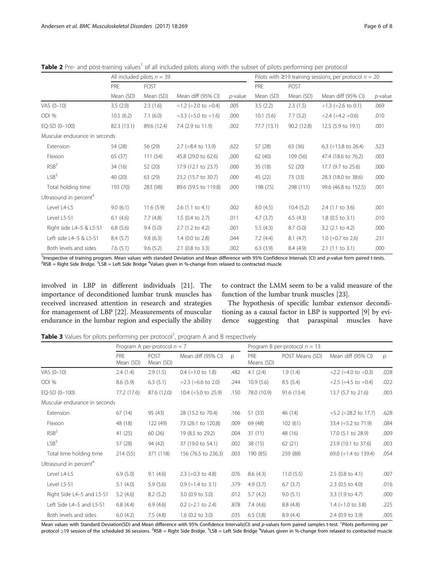|                                    | All included pilots $n = 39$ |             |                                         |            | Pilots with $\geq$ 19 training sessions, per protocol $n = 20$ |             |                                    |            |
|------------------------------------|------------------------------|-------------|-----------------------------------------|------------|----------------------------------------------------------------|-------------|------------------------------------|------------|
|                                    | PRE                          | <b>POST</b> |                                         |            | <b>PRE</b>                                                     | <b>POST</b> |                                    |            |
|                                    | Mean (SD)                    | Mean (SD)   | Mean diff (95% CI)                      | $p$ -value | Mean (SD)                                                      | Mean (SD)   | Mean diff (95% CI)                 | $p$ -value |
| VAS (0-10)                         | 3.5(2.0)                     | 2.3(1.6)    | $\div$ 1.2 ( $\div$ 2.0 to $\div$ 0.4)  | .005       | 3.5(2.2)                                                       | 2.3(1.5)    | $\div 1.3$ ( $\div 2.6$ to 0.1)    | .069       |
| ODI %                              | 10.5(6.2)                    | 7.1(6.0)    | $\div 3.3$ ( $\div 5.0$ to $\div 1.6$ ) | .000       | 10.1(5.6)                                                      | 7.7(5.2)    | $\div 2.4$ ( $\div 4.2 \div 0.6$ ) | .010       |
| EQ-5D (0-100)                      | 82.3 (13.1)                  | 89.6 (12.4) | 7.4 (2.9 to 11.9)                       | .002       | 77.7(13.1)                                                     | 90.2 (12.8) | 12.5 (5.9 to 19.1)                 | .001       |
| Muscular endurance in seconds      |                              |             |                                         |            |                                                                |             |                                    |            |
| Extension                          | 54 (28)                      | 56 (29)     | 2.7 $(\div 8.4 \text{ to } 13.9)$       | .622       | 57 (28)                                                        | 63 (36)     | 6.3 $(\div 13.8 \text{ to } 26.4)$ | .523       |
| Flexion                            | 65 (37)                      | 111(54)     | 45.8 (29.0 to 62.6)                     | .000       | 62 (40)                                                        | 109 (56)    | 47.4 (18.6 to 76.2)                | .003       |
| RSB <sup>2</sup>                   | 34 (16)                      | 52 (20)     | 17.9 (12.1 to 23.7)                     | .000       | 35 (18)                                                        | 52 (20)     | 17.7 (9.7 to 25.6)                 | .000       |
| LSB <sup>3</sup>                   | 40 (20)                      | 63 (29)     | 23.2 (15.7 to 30.7)                     | .000       | 45 (22)                                                        | 73 (33)     | 28.3 (18.0 to 38.6)                | .000       |
| Total holding time                 | 193 (70)                     | 283 (98)    | 89.6 (59.5 to 119.8)                    | .000       | 198 (75)                                                       | 298 (111)   | 99.6 (46.8 to 152.5)               | .001       |
| Ultrasound in percent <sup>4</sup> |                              |             |                                         |            |                                                                |             |                                    |            |
| Level L4-L5                        | 9.0(6.1)                     | 11.6(5.9)   | $2.6$ (1.1 to 4.1)                      | .002       | 8.0(4.5)                                                       | 10.4(5.2)   | $2.4$ (1.1 to 3.6)                 | .001       |
| Level L5-S1                        | 6.1(4.6)                     | 7.7(4.8)    | 1.5 (0.4 to 2.7)                        | .011       | 4.7(3.7)                                                       | 6.5(4.3)    | $1.8$ (0.5 to 3.1)                 | .010       |
| Right side L4-5 & L5-S1            | 6.8(5.6)                     | 9.4(5.0)    | 2.7 (1.2 to 4.2)                        | .001       | 5.5(4.3)                                                       | 8.7(5.0)    | 3.2 (2.1 to 4.2)                   | .000       |
| Left side L4-5 & L5-S1             | 8.4(5.7)                     | 9.8(6.3)    | 1.4 $(0.0 \text{ to } 2.8)$             | .044       | 7.2(4.4)                                                       | 8.1(4.7)    | 1.0 $(\div 0.7 \text{ to } 2.6)$   | .231       |
| Both levels and sides              | 7.6(5.1)                     | 9.6(5.2)    | 2.1 (0.8 to 3.3)                        | .002       | 6.3(3.9)                                                       | 8.4(4.9)    | $2.1$ (1.1 to 3.1)                 | .000       |

<span id="page-5-0"></span>Table 2 Pre- and post-training values<sup>1</sup> of all included pilots along with the subset of pilots performing per protocol

<sup>1</sup>Irrespective of training program. Mean values with standard Deviation and Mean difference with 95% Confidence Intervals (CI) and p-value form paired t-tests.<br><sup>2</sup>PSR – Picht Side Bridge <sup>3</sup>LSR – Left Side Bridge <sup>4</sup>Value RSB = Right Side Bridge.  ${}^{3}$ LSB = Left Side Bridge <sup>4</sup>Values given in %-change from relaxed to contracted muscle

involved in LBP in different individuals [[21](#page-7-0)]. The importance of deconditioned lumbar trunk muscles has received increased attention in research and strategies for management of LBP [[22\]](#page-7-0). Measurements of muscular endurance in the lumbar region and especially the ability

to contract the LMM seem to be a valid measure of the function of the lumbar trunk muscles [[23\]](#page-7-0).

The hypothesis of specific lumbar extensor deconditioning as a causal factor in LBP is supported [\[9](#page-7-0)] by evidence suggesting that paraspinal muscles have

Table 3 Values for pilots performing per protocol<sup>1</sup>, program A and B respectively

|                                    |                         | Program A per-protocol $n = 7$ |                                    |      |                          | Program B per-protocol $n = 13$ |                                         |      |
|------------------------------------|-------------------------|--------------------------------|------------------------------------|------|--------------------------|---------------------------------|-----------------------------------------|------|
|                                    | <b>PRE</b><br>Mean (SD) | POST<br>Mean (SD)              | Mean diff (95% CI)                 | p    | <b>PRE</b><br>Means (SD) | POST Means (SD)                 | Mean diff (95% CI)                      | p    |
| $VAS (0-10)$                       | 2.4(1.4)                | 2.9(1.5)                       | $0.4$ ( $\div$ 1.0 to 1.8)         | .482 | 4.1(2.4)                 | 1.9(1.4)                        | $\div 2.2$ ( $\div 4.0$ to $\div 0.3$ ) | .028 |
| ODI %                              | 8.6(5.9)                | 6.3(5.1)                       | $\div 2.3$ ( $\div 6.6$ to 2.0)    | .244 | 10.9(5.6)                | 8.5(5.4)                        | $\div 2.5$ ( $\div 4.5$ to $\div 0.4$ ) | .022 |
| EQ-5D (0-100)                      | 77.2 (17.6)             | 87.6 (12.0)                    | 10.4 $(\div 5.0 \text{ to } 25.9)$ | .150 | 78.0 (10.9)              | 91.6 (13.4)                     | 13.7 (5.7 to 21.6)                      | .003 |
| Muscular endurance in seconds      |                         |                                |                                    |      |                          |                                 |                                         |      |
| Extension                          | 67(14)                  | 95 (43)                        | 28 (15.2 to 70.4)                  | .166 | 51(33)                   | 46 (14)                         | $\div$ 5.2 ( $\div$ 28.2 to 17.7)       | .628 |
| Flexion                            | 48 (18)                 | 122 (49)                       | 73 (26.1 to 120.8)                 | .009 | 69 (48)                  | 102(61)                         | 33.4 (÷5.2 to 71.9)                     | .084 |
| RSB <sup>2</sup>                   | 41 (25)                 | 60(26)                         | 19 (8.5 to 29.2)                   | .004 | 31(11)                   | 48 (16)                         | 17.0 (5.1 to 28.9)                      | .009 |
| LSB <sup>3</sup>                   | 57 (28)                 | 94 (42)                        | 37 (19.0 to 54.1)                  | .002 | 38 (15)                  | 62(21)                          | 23.9 (10.1 to 37.6)                     | .003 |
| Total time holding time            | 214 (55)                | 371 (118)                      | 156 (76.5 to 236.3)                | .003 | 190 (85)                 | 259 (88)                        | 69.0 $(\div 1.4$ to 139.4)              | .054 |
| Ultrasound in percent <sup>4</sup> |                         |                                |                                    |      |                          |                                 |                                         |      |
| Level L4-L5                        | 6.9(5.0)                | 9.1(4.6)                       | 2.3 $(\div 0.3 \text{ to } 4.8)$   | .076 | 8.6(4.3)                 | 11.0(5.5)                       | $2.5$ (0.8 to 4.1)                      | .007 |
| Level L5-S1                        | 5.1(4.0)                | 5.9(5.6)                       | $0.9$ ( $\div$ 1.4 to 3.1)         | .379 | 4.9(3.7)                 | 6.7(3.7)                        | $2.3$ (0.5 to 4.0)                      | .016 |
| Right Side L4-5 and L5-S1          | 5.2(4.6)                | 8.2(5.2)                       | 3.0 (0.9 to 5.0)                   | .012 | 5.7(4.2)                 | 9.0(5.1)                        | 3.3 (1.9 to 4.7)                        | .000 |
| Left Side L4-5 and L5-S1           | 6.8(4.4)                | 6.9(4.6)                       | $0.2$ ( $\div$ 2.1 to 2.4)         | .878 | 7.4(4.6)                 | 8.8(4.8)                        | 1.4 $(\div 1.0 \text{ to } 3.8)$        | .225 |
| Both levels and sides              | 6.0(4.2)                | 7.5(4.8)                       | $1.6$ (0.2 to 3.0)                 | .035 | 6.5(3.8)                 | 8.9(4.4)                        | 2.4 (0.9 to 3.9)                        | .005 |

Mean values with Standard Deviation(SD) and Mean difference with 95% Confidence Intervals(CI) and p-values form paired samples t-test. <sup>1</sup>Pilots performing per protocol ≥19 session of the scheduled 36 sessions. <sup>2</sup>RSB = Right Side Bridge. <sup>3</sup>LSB = Left Side Bridge <sup>4</sup>Values given in %-change from relaxed to contracted muscle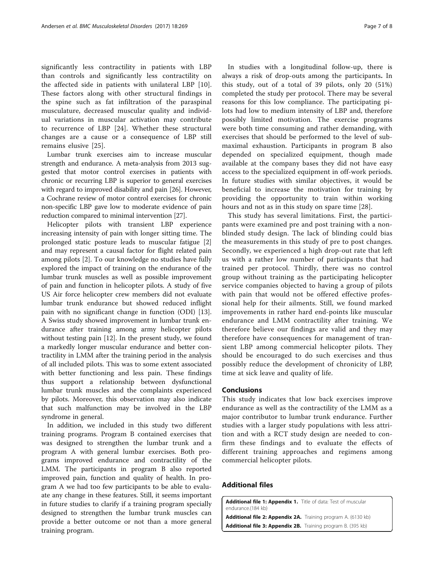<span id="page-6-0"></span>significantly less contractility in patients with LBP than controls and significantly less contractility on the affected side in patients with unilateral LBP [\[10](#page-7-0)]. These factors along with other structural findings in the spine such as fat infiltration of the paraspinal musculature, decreased muscular quality and individual variations in muscular activation may contribute to recurrence of LBP [\[24](#page-7-0)]. Whether these structural changes are a cause or a consequence of LBP still remains elusive [[25\]](#page-7-0).

Lumbar trunk exercises aim to increase muscular strength and endurance. A meta-analysis from 2013 suggested that motor control exercises in patients with chronic or recurring LBP is superior to general exercises with regard to improved disability and pain [[26](#page-7-0)]. However, a Cochrane review of motor control exercises for chronic non-specific LBP gave low to moderate evidence of pain reduction compared to minimal intervention [[27](#page-7-0)].

Helicopter pilots with transient LBP experience increasing intensity of pain with longer sitting time. The prolonged static posture leads to muscular fatigue [\[2](#page-7-0)] and may represent a causal factor for flight related pain among pilots [[2\]](#page-7-0). To our knowledge no studies have fully explored the impact of training on the endurance of the lumbar trunk muscles as well as possible improvement of pain and function in helicopter pilots. A study of five US Air force helicopter crew members did not evaluate lumbar trunk endurance but showed reduced inflight pain with no significant change in function (ODI) [\[13](#page-7-0)]. A Swiss study showed improvement in lumbar trunk endurance after training among army helicopter pilots without testing pain [[12](#page-7-0)]. In the present study, we found a markedly longer muscular endurance and better contractility in LMM after the training period in the analysis of all included pilots. This was to some extent associated with better functioning and less pain. These findings thus support a relationship between dysfunctional lumbar trunk muscles and the complaints experienced by pilots. Moreover, this observation may also indicate that such malfunction may be involved in the LBP syndrome in general.

In addition, we included in this study two different training programs. Program B contained exercises that was designed to strengthen the lumbar trunk and a program A with general lumbar exercises. Both programs improved endurance and contractility of the LMM. The participants in program B also reported improved pain, function and quality of health. In program A we had too few participants to be able to evaluate any change in these features. Still, it seems important in future studies to clarify if a training program specially designed to strengthen the lumbar trunk muscles can provide a better outcome or not than a more general training program.

In studies with a longitudinal follow-up, there is always a risk of drop-outs among the participants. In this study, out of a total of 39 pilots, only 20 (51%) completed the study per protocol. There may be several reasons for this low compliance. The participating pilots had low to medium intensity of LBP and, therefore possibly limited motivation. The exercise programs were both time consuming and rather demanding, with exercises that should be performed to the level of submaximal exhaustion. Participants in program B also depended on specialized equipment, though made available at the company bases they did not have easy access to the specialized equipment in off-work periods. In future studies with similar objectives, it would be beneficial to increase the motivation for training by providing the opportunity to train within working hours and not as in this study on spare time [[28\]](#page-7-0).

This study has several limitations. First, the participants were examined pre and post training with a nonblinded study design. The lack of blinding could bias the measurements in this study of pre to post changes. Secondly, we experienced a high drop-out rate that left us with a rather low number of participants that had trained per protocol. Thirdly, there was no control group without training as the participating helicopter service companies objected to having a group of pilots with pain that would not be offered effective professional help for their ailments. Still, we found marked improvements in rather hard end-points like muscular endurance and LMM contractility after training. We therefore believe our findings are valid and they may therefore have consequences for management of transient LBP among commercial helicopter pilots. They should be encouraged to do such exercises and thus possibly reduce the development of chronicity of LBP, time at sick leave and quality of life.

## Conclusions

This study indicates that low back exercises improve endurance as well as the contractility of the LMM as a major contributor to lumbar trunk endurance. Further studies with a larger study populations with less attrition and with a RCT study design are needed to confirm these findings and to evaluate the effects of different training approaches and regimens among commercial helicopter pilots.

## Additional files

[Additional file 1: Appendix 1.](dx.doi.org/10.1186/s12891-017-1631-0) Title of data: Test of muscular endurance.(184 kb) [Additional file 2: Appendix 2A.](dx.doi.org/10.1186/s12891-017-1631-0) Training program A. (6130 kb) [Additional file 3: Appendix 2B.](dx.doi.org/10.1186/s12891-017-1631-0) Training program B. (395 kb)